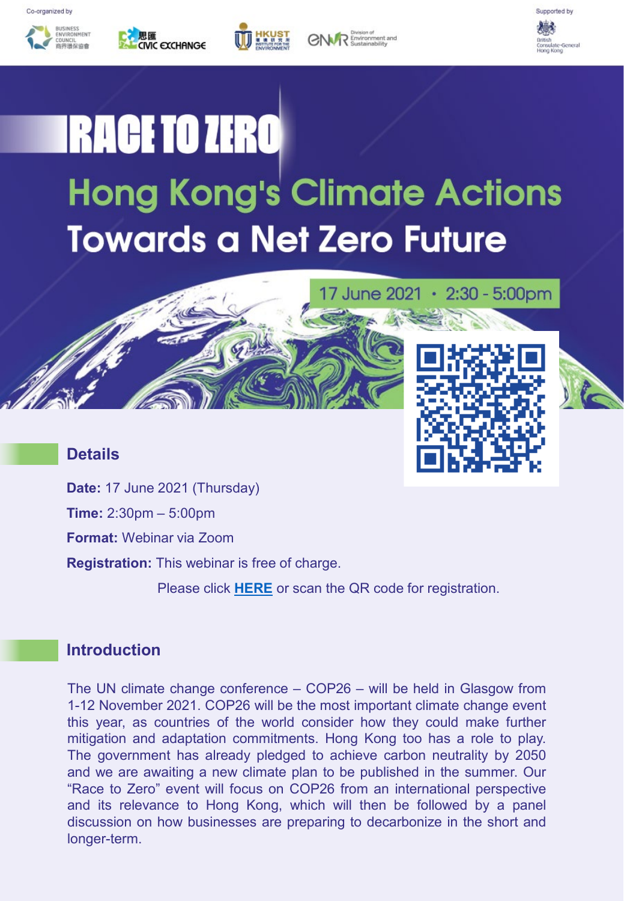







17 June 2021 · 2:30 - 5:00pm



# **IRACE TO ZERO Hong Kong's Climate Actions Towards a Net Zero Future**

### **Details**



**Time:** 2:30pm – 5:00pm

**Format:** Webinar via Zoom

**Registration:** This webinar is free of charge.

Please click **[HERE](https://hkust.zoom.us/webinar/register/WN_rCVqlKxuRUuGjGe5glZV1g)** or scan the QR code for registration.

### **Introduction**

The UN climate change conference – COP26 – will be held in Glasgow from 1-12 November 2021. COP26 will be the most important climate change event this year, as countries of the world consider how they could make further mitigation and adaptation commitments. Hong Kong too has a role to play. The government has already pledged to achieve carbon neutrality by 2050 and we are awaiting a new climate plan to be published in the summer. Our "Race to Zero" event will focus on COP26 from an international perspective and its relevance to Hong Kong, which will then be followed by a panel discussion on how businesses are preparing to decarbonize in the short and longer-term.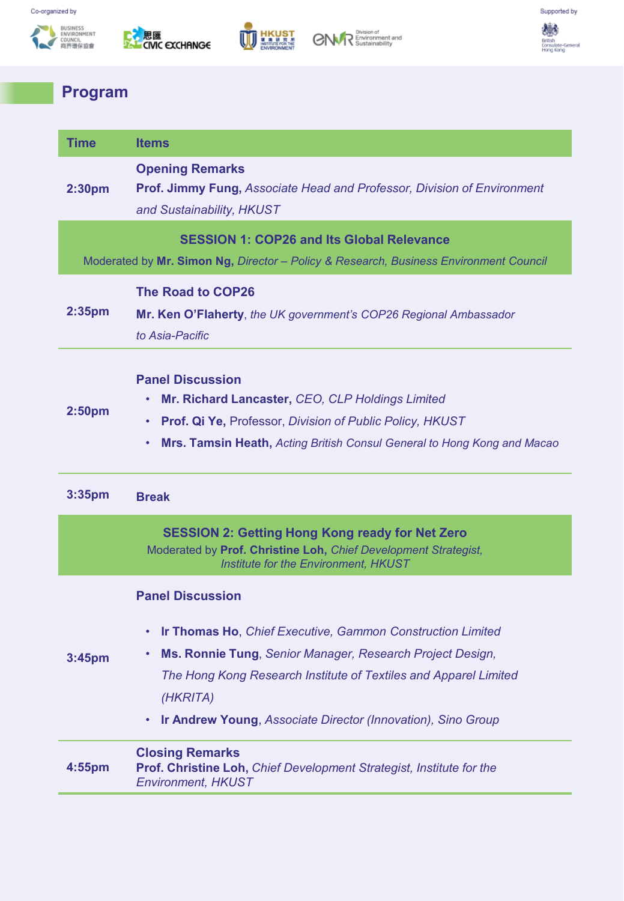







수술<br>Septish<br>British<br>Consulate-General<br>Hong Kong

## **Program**

| <b>Time</b>                                                                           | <b>Items</b>                                                                                                                                                                                                                                                                                              |
|---------------------------------------------------------------------------------------|-----------------------------------------------------------------------------------------------------------------------------------------------------------------------------------------------------------------------------------------------------------------------------------------------------------|
| 2:30 <sub>pm</sub>                                                                    | <b>Opening Remarks</b><br><b>Prof. Jimmy Fung, Associate Head and Professor, Division of Environment</b><br>and Sustainability, HKUST                                                                                                                                                                     |
|                                                                                       | <b>SESSION 1: COP26 and Its Global Relevance</b>                                                                                                                                                                                                                                                          |
| Moderated by Mr. Simon Ng, Director - Policy & Research, Business Environment Council |                                                                                                                                                                                                                                                                                                           |
| 2:35 <sub>pm</sub>                                                                    | <b>The Road to COP26</b><br>Mr. Ken O'Flaherty, the UK government's COP26 Regional Ambassador<br>to Asia-Pacific                                                                                                                                                                                          |
| 2:50pm                                                                                | <b>Panel Discussion</b><br>Mr. Richard Lancaster, CEO, CLP Holdings Limited<br>Prof. Qi Ye, Professor, Division of Public Policy, HKUST<br>$\bullet$<br>Mrs. Tamsin Heath, Acting British Consul General to Hong Kong and Macao<br>$\bullet$                                                              |
| 3:35pm                                                                                | <b>Break</b>                                                                                                                                                                                                                                                                                              |
|                                                                                       | <b>SESSION 2: Getting Hong Kong ready for Net Zero</b><br>Moderated by Prof. Christine Loh, Chief Development Strategist,<br><b>Institute for the Environment, HKUST</b>                                                                                                                                  |
| 3:45pm                                                                                | <b>Panel Discussion</b><br><b>Ir Thomas Ho, Chief Executive, Gammon Construction Limited</b><br>Ms. Ronnie Tung, Senior Manager, Research Project Design,<br>The Hong Kong Research Institute of Textiles and Apparel Limited<br>(HKRITA)<br>Ir Andrew Young, Associate Director (Innovation), Sino Group |
| 4:55pm                                                                                | <b>Closing Remarks</b><br>Prof. Christine Loh, Chief Development Strategist, Institute for the<br><b>Environment, HKUST</b>                                                                                                                                                                               |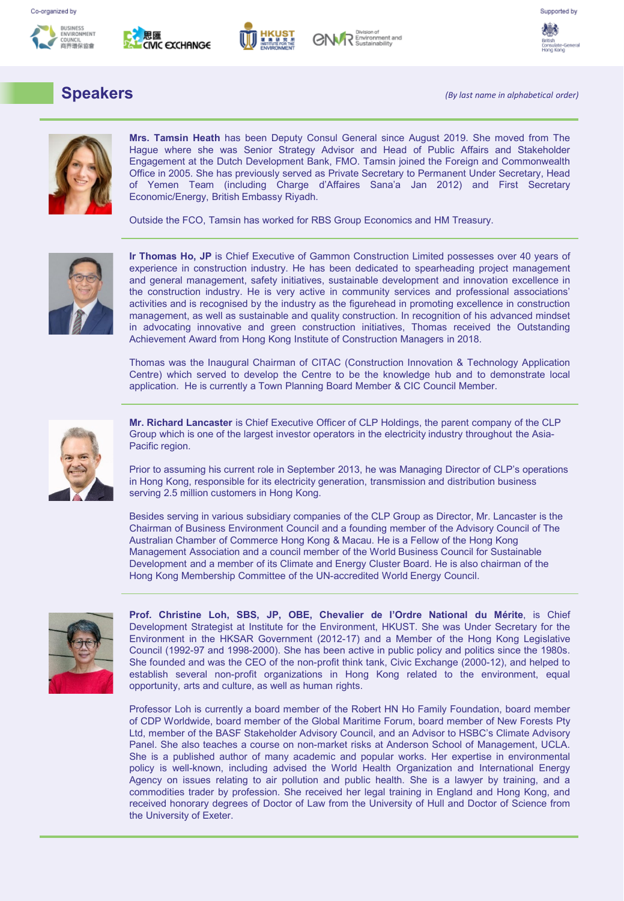







## **Speakers**

*(By last name in alphabetical order)*



**Mrs. Tamsin Heath** has been Deputy Consul General since August 2019. She moved from The Hague where she was Senior Strategy Advisor and Head of Public Affairs and Stakeholder Engagement at the Dutch Development Bank, FMO. Tamsin joined the Foreign and Commonwealth Office in 2005. She has previously served as Private Secretary to Permanent Under Secretary, Head of Yemen Team (including Charge d'Affaires Sana'a Jan 2012) and First Secretary Economic/Energy, British Embassy Riyadh.

Outside the FCO, Tamsin has worked for RBS Group Economics and HM Treasury.



**Ir Thomas Ho, JP** is Chief Executive of Gammon Construction Limited possesses over 40 years of experience in construction industry. He has been dedicated to spearheading project management and general management, safety initiatives, sustainable development and innovation excellence in the construction industry. He is very active in community services and professional associations' activities and is recognised by the industry as the figurehead in promoting excellence in construction management, as well as sustainable and quality construction. In recognition of his advanced mindset in advocating innovative and green construction initiatives, Thomas received the Outstanding Achievement Award from Hong Kong Institute of Construction Managers in 2018.

Thomas was the Inaugural Chairman of CITAC (Construction Innovation & Technology Application Centre) which served to develop the Centre to be the knowledge hub and to demonstrate local application. He is currently a Town Planning Board Member & CIC Council Member.



**Mr. Richard Lancaster** is Chief Executive Officer of CLP Holdings, the parent company of the CLP Group which is one of the largest investor operators in the electricity industry throughout the Asia-Pacific region.

Prior to assuming his current role in September 2013, he was Managing Director of CLP's operations in Hong Kong, responsible for its electricity generation, transmission and distribution business serving 2.5 million customers in Hong Kong.

Besides serving in various subsidiary companies of the CLP Group as Director, Mr. Lancaster is the Chairman of Business Environment Council and a founding member of the Advisory Council of The Australian Chamber of Commerce Hong Kong & Macau. He is a Fellow of the Hong Kong Management Association and a council member of the World Business Council for Sustainable Development and a member of its Climate and Energy Cluster Board. He is also chairman of the Hong Kong Membership Committee of the UN-accredited World Energy Council.



**Prof. Christine Loh, SBS, JP, OBE, Chevalier de l'Ordre National du Mérite**, is Chief Development Strategist at Institute for the Environment, HKUST. She was Under Secretary for the Environment in the HKSAR Government (2012-17) and a Member of the Hong Kong Legislative Council (1992-97 and 1998-2000). She has been active in public policy and politics since the 1980s. She founded and was the CEO of the non-profit think tank, Civic Exchange (2000-12), and helped to establish several non-profit organizations in Hong Kong related to the environment, equal opportunity, arts and culture, as well as human rights.

Professor Loh is currently a board member of the Robert HN Ho Family Foundation, board member of CDP Worldwide, board member of the Global Maritime Forum, board member of New Forests Pty Ltd, member of the BASF Stakeholder Advisory Council, and an Advisor to HSBC's Climate Advisory Panel. She also teaches a course on non-market risks at Anderson School of Management, UCLA. She is a published author of many academic and popular works. Her expertise in environmental policy is well-known, including advised the World Health Organization and International Energy Agency on issues relating to air pollution and public health. She is a lawyer by training, and a commodities trader by profession. She received her legal training in England and Hong Kong, and received honorary degrees of Doctor of Law from the University of Hull and Doctor of Science from the University of Exeter.